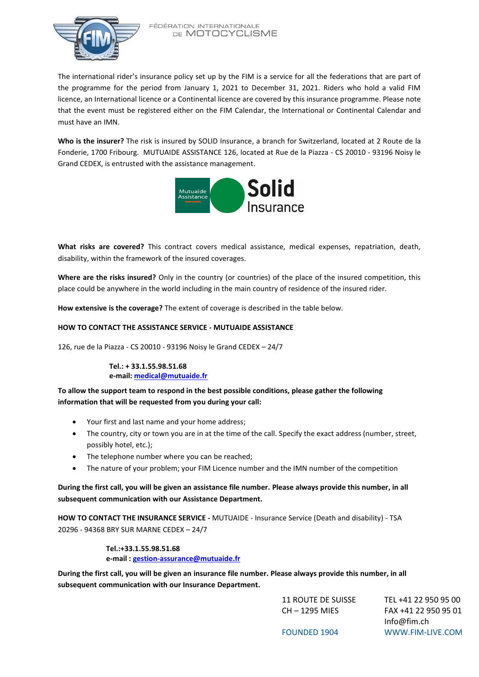

FÉDÉRATION INTERNATIONALE DE MOTOCYCLISME

The international rider's insurance policy set up by the FIM is a service for all the federations that are part of the programme for the period from January 1, 2021 to December 31, 2021. Riders who hold a valid FIM licence, an International licence or a Continental licence are covered by this insurance programme. Please note that the event must be registered either on the FIM Calendar, the International or Continental Calendar and must have an IMN.

**Who is the insurer?** The risk is insured by SOLID Insurance, a branch for Switzerland, located at 2 Route de la Fonderie, 1700 Fribourg. MUTUAIDE ASSISTANCE 126, located at Rue de la Piazza - CS 20010 - 93196 Noisy le Grand CEDEX, is entrusted with the assistance management.



**What risks are covered?** This contract covers medical assistance, medical expenses, repatriation, death, disability, within the framework of the insured coverages.

**Where are the risks insured?** Only in the country (or countries) of the place of the insured competition, this place could be anywhere in the world including in the main country of residence of the insured rider.

**How extensive is the coverage?** The extent of coverage is described in the table below.

## **HOW TO CONTACT THE ASSISTANCE SERVICE - MUTUAIDE ASSISTANCE**

126, rue de la Piazza - CS 20010 - 93196 Noisy le Grand CEDEX – 24/7

**Tel.: + 33.1.55.98.51.68 e-mail: [medical@mutuaide.fr](file:///C:/Users/jean-paul.gombeaud/AppData/Local/Temp/medical@mutuaide.fr)**

**To allow the support team to respond in the best possible conditions, please gather the following information that will be requested from you during your call:**

- Your first and last name and your home address;
- The country, city or town you are in at the time of the call. Specify the exact address (number, street, possibly hotel, etc.);
- The telephone number where you can be reached;
- The nature of your problem; your FIM Licence number and the IMN number of the competition

## **During the first call, you will be given an assistance file number. Please always provide this number, in all subsequent communication with our Assistance Department.**

**HOW TO CONTACT THE INSURANCE SERVICE -** MUTUAIDE - Insurance Service (Death and disability) - TSA 20296 - 94368 BRY SUR MARNE CEDEX – 24/7

> **Tel.:+33.1.55.98.51.68 e-mail : [gestion-assurance@mutuaide.fr](file:///C:/Users/jean-paul.gombeaud/AppData/Local/Temp/gestion-assurance@mutuaide.fr)**

**During the first call, you will be given an insurance file number. Please always provide this number, in all subsequent communication with our Insurance Department.**

| <b>11 ROUTE DE SUISSE</b> | TEL +41 22 950 95 00 |
|---------------------------|----------------------|
| CH - 1295 MIES            | FAX +41 22 950 95 01 |
|                           | Info@fim.ch          |
| <b>FOUNDED 1904</b>       | WWW.FIM-LIVE.COM     |